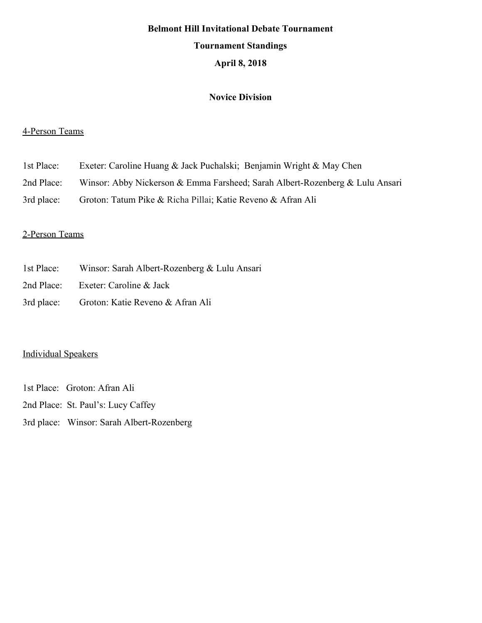# **Belmont Hill Invitational Debate Tournament Tournament Standings April 8, 2018**

## **Novice Division**

#### 4-Person Teams

- 1st Place: Exeter: Caroline Huang & Jack Puchalski; Benjamin Wright & May Chen
- 2nd Place: Winsor: Abby Nickerson & Emma Farsheed; Sarah Albert-Rozenberg & Lulu Ansari
- 3rd place: Groton: Tatum Pike & Richa Pillai; Katie Reveno & Afran Ali

#### 2-Person Teams

- 1st Place: Winsor: Sarah Albert-Rozenberg & Lulu Ansari
- 2nd Place: Exeter: Caroline & Jack
- 3rd place: Groton: Katie Reveno & Afran Ali

#### Individual Speakers

1st Place: Groton: Afran Ali 2nd Place: St. Paul's: Lucy Caffey 3rd place: Winsor: Sarah Albert-Rozenberg